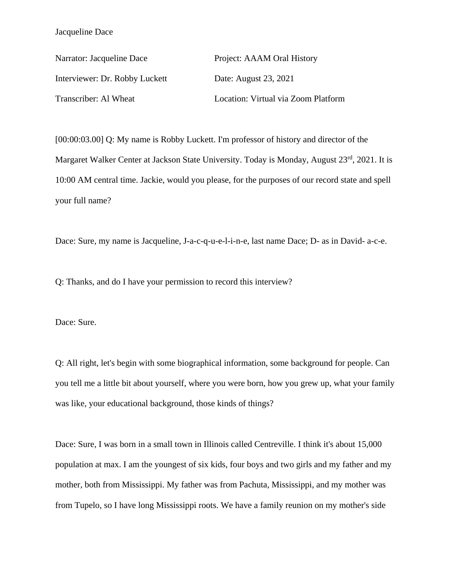Narrator: Jacqueline Dace Project: AAAM Oral History Interviewer: Dr. Robby Luckett Date: August 23, 2021 Transcriber: Al Wheat Location: Virtual via Zoom Platform

[00:00:03.00] Q: My name is Robby Luckett. I'm professor of history and director of the Margaret Walker Center at Jackson State University. Today is Monday, August 23rd, 2021. It is 10:00 AM central time. Jackie, would you please, for the purposes of our record state and spell your full name?

Dace: Sure, my name is Jacqueline, J-a-c-q-u-e-l-i-n-e, last name Dace; D- as in David- a-c-e.

Q: Thanks, and do I have your permission to record this interview?

Dace: Sure.

Q: All right, let's begin with some biographical information, some background for people. Can you tell me a little bit about yourself, where you were born, how you grew up, what your family was like, your educational background, those kinds of things?

Dace: Sure, I was born in a small town in Illinois called Centreville. I think it's about 15,000 population at max. I am the youngest of six kids, four boys and two girls and my father and my mother, both from Mississippi. My father was from Pachuta, Mississippi, and my mother was from Tupelo, so I have long Mississippi roots. We have a family reunion on my mother's side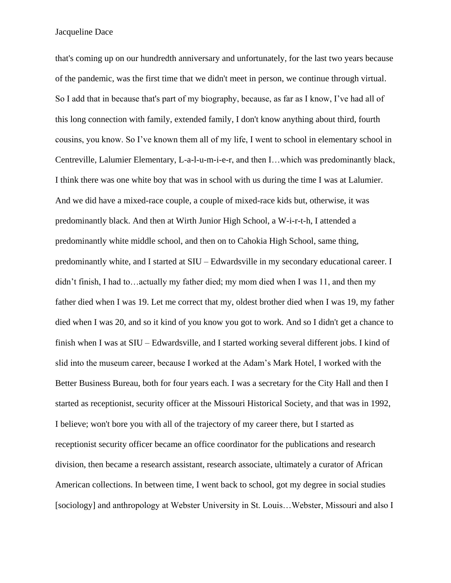that's coming up on our hundredth anniversary and unfortunately, for the last two years because of the pandemic, was the first time that we didn't meet in person, we continue through virtual. So I add that in because that's part of my biography, because, as far as I know, I've had all of this long connection with family, extended family, I don't know anything about third, fourth cousins, you know. So I've known them all of my life, I went to school in elementary school in Centreville, Lalumier Elementary, L-a-l-u-m-i-e-r, and then I…which was predominantly black, I think there was one white boy that was in school with us during the time I was at Lalumier. And we did have a mixed-race couple, a couple of mixed-race kids but, otherwise, it was predominantly black. And then at Wirth Junior High School, a W-i-r-t-h, I attended a predominantly white middle school, and then on to Cahokia High School, same thing, predominantly white, and I started at SIU – Edwardsville in my secondary educational career. I didn't finish, I had to…actually my father died; my mom died when I was 11, and then my father died when I was 19. Let me correct that my, oldest brother died when I was 19, my father died when I was 20, and so it kind of you know you got to work. And so I didn't get a chance to finish when I was at SIU – Edwardsville, and I started working several different jobs. I kind of slid into the museum career, because I worked at the Adam's Mark Hotel, I worked with the Better Business Bureau, both for four years each. I was a secretary for the City Hall and then I started as receptionist, security officer at the Missouri Historical Society, and that was in 1992, I believe; won't bore you with all of the trajectory of my career there, but I started as receptionist security officer became an office coordinator for the publications and research division, then became a research assistant, research associate, ultimately a curator of African American collections. In between time, I went back to school, got my degree in social studies [sociology] and anthropology at Webster University in St. Louis...Webster, Missouri and also I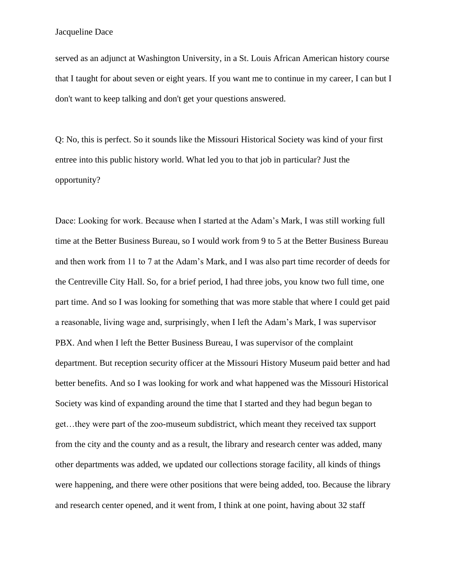served as an adjunct at Washington University, in a St. Louis African American history course that I taught for about seven or eight years. If you want me to continue in my career, I can but I don't want to keep talking and don't get your questions answered.

Q: No, this is perfect. So it sounds like the Missouri Historical Society was kind of your first entree into this public history world. What led you to that job in particular? Just the opportunity?

Dace: Looking for work. Because when I started at the Adam's Mark, I was still working full time at the Better Business Bureau, so I would work from 9 to 5 at the Better Business Bureau and then work from 11 to 7 at the Adam's Mark, and I was also part time recorder of deeds for the Centreville City Hall. So, for a brief period, I had three jobs, you know two full time, one part time. And so I was looking for something that was more stable that where I could get paid a reasonable, living wage and, surprisingly, when I left the Adam's Mark, I was supervisor PBX. And when I left the Better Business Bureau, I was supervisor of the complaint department. But reception security officer at the Missouri History Museum paid better and had better benefits. And so I was looking for work and what happened was the Missouri Historical Society was kind of expanding around the time that I started and they had begun began to get…they were part of the zoo-museum subdistrict, which meant they received tax support from the city and the county and as a result, the library and research center was added, many other departments was added, we updated our collections storage facility, all kinds of things were happening, and there were other positions that were being added, too. Because the library and research center opened, and it went from, I think at one point, having about 32 staff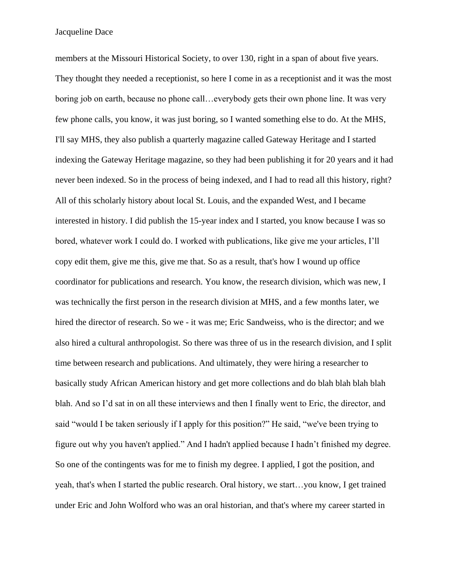members at the Missouri Historical Society, to over 130, right in a span of about five years. They thought they needed a receptionist, so here I come in as a receptionist and it was the most boring job on earth, because no phone call…everybody gets their own phone line. It was very few phone calls, you know, it was just boring, so I wanted something else to do. At the MHS, I'll say MHS, they also publish a quarterly magazine called Gateway Heritage and I started indexing the Gateway Heritage magazine, so they had been publishing it for 20 years and it had never been indexed. So in the process of being indexed, and I had to read all this history, right? All of this scholarly history about local St. Louis, and the expanded West, and I became interested in history. I did publish the 15-year index and I started, you know because I was so bored, whatever work I could do. I worked with publications, like give me your articles, I'll copy edit them, give me this, give me that. So as a result, that's how I wound up office coordinator for publications and research. You know, the research division, which was new, I was technically the first person in the research division at MHS, and a few months later, we hired the director of research. So we - it was me; Eric Sandweiss, who is the director; and we also hired a cultural anthropologist. So there was three of us in the research division, and I split time between research and publications. And ultimately, they were hiring a researcher to basically study African American history and get more collections and do blah blah blah blah blah. And so I'd sat in on all these interviews and then I finally went to Eric, the director, and said "would I be taken seriously if I apply for this position?" He said, "we've been trying to figure out why you haven't applied." And I hadn't applied because I hadn't finished my degree. So one of the contingents was for me to finish my degree. I applied, I got the position, and yeah, that's when I started the public research. Oral history, we start…you know, I get trained under Eric and John Wolford who was an oral historian, and that's where my career started in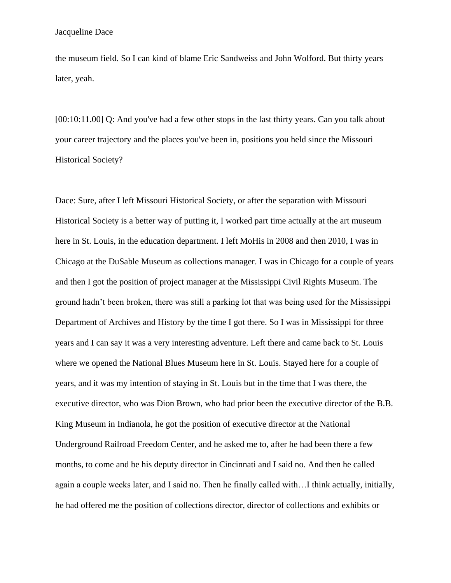the museum field. So I can kind of blame Eric Sandweiss and John Wolford. But thirty years later, yeah.

[00:10:11.00] Q: And you've had a few other stops in the last thirty years. Can you talk about your career trajectory and the places you've been in, positions you held since the Missouri Historical Society?

Dace: Sure, after I left Missouri Historical Society, or after the separation with Missouri Historical Society is a better way of putting it, I worked part time actually at the art museum here in St. Louis, in the education department. I left MoHis in 2008 and then 2010, I was in Chicago at the DuSable Museum as collections manager. I was in Chicago for a couple of years and then I got the position of project manager at the Mississippi Civil Rights Museum. The ground hadn't been broken, there was still a parking lot that was being used for the Mississippi Department of Archives and History by the time I got there. So I was in Mississippi for three years and I can say it was a very interesting adventure. Left there and came back to St. Louis where we opened the National Blues Museum here in St. Louis. Stayed here for a couple of years, and it was my intention of staying in St. Louis but in the time that I was there, the executive director, who was Dion Brown, who had prior been the executive director of the B.B. King Museum in Indianola, he got the position of executive director at the National Underground Railroad Freedom Center, and he asked me to, after he had been there a few months, to come and be his deputy director in Cincinnati and I said no. And then he called again a couple weeks later, and I said no. Then he finally called with…I think actually, initially, he had offered me the position of collections director, director of collections and exhibits or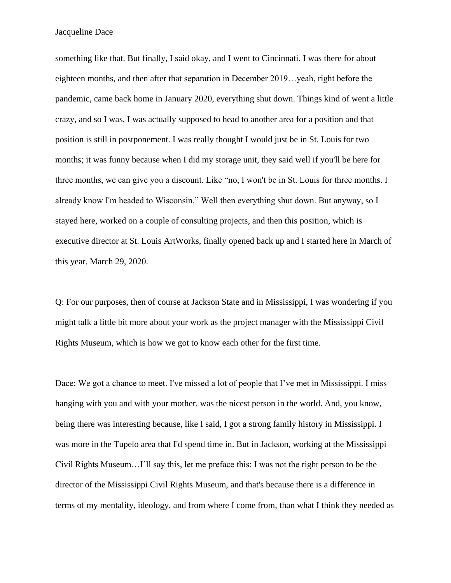something like that. But finally, I said okay, and I went to Cincinnati. I was there for about eighteen months, and then after that separation in December 2019…yeah, right before the pandemic, came back home in January 2020, everything shut down. Things kind of went a little crazy, and so I was, I was actually supposed to head to another area for a position and that position is still in postponement. I was really thought I would just be in St. Louis for two months; it was funny because when I did my storage unit, they said well if you'll be here for three months, we can give you a discount. Like "no, I won't be in St. Louis for three months. I already know I'm headed to Wisconsin." Well then everything shut down. But anyway, so I stayed here, worked on a couple of consulting projects, and then this position, which is executive director at St. Louis ArtWorks, finally opened back up and I started here in March of this year. March 29, 2020.

Q: For our purposes, then of course at Jackson State and in Mississippi, I was wondering if you might talk a little bit more about your work as the project manager with the Mississippi Civil Rights Museum, which is how we got to know each other for the first time.

Dace: We got a chance to meet. I've missed a lot of people that I've met in Mississippi. I miss hanging with you and with your mother, was the nicest person in the world. And, you know, being there was interesting because, like I said, I got a strong family history in Mississippi. I was more in the Tupelo area that I'd spend time in. But in Jackson, working at the Mississippi Civil Rights Museum…I'll say this, let me preface this: I was not the right person to be the director of the Mississippi Civil Rights Museum, and that's because there is a difference in terms of my mentality, ideology, and from where I come from, than what I think they needed as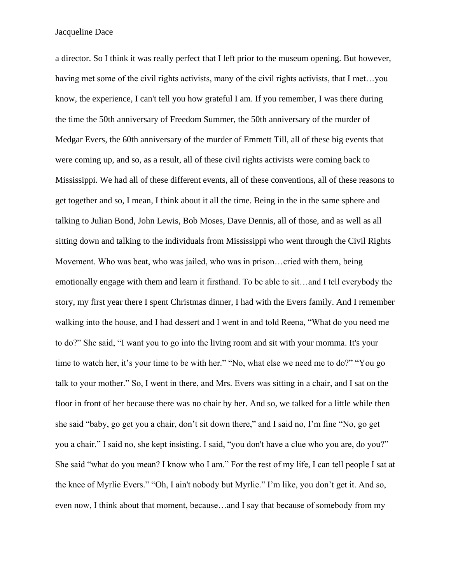a director. So I think it was really perfect that I left prior to the museum opening. But however, having met some of the civil rights activists, many of the civil rights activists, that I met...you know, the experience, I can't tell you how grateful I am. If you remember, I was there during the time the 50th anniversary of Freedom Summer, the 50th anniversary of the murder of Medgar Evers, the 60th anniversary of the murder of Emmett Till, all of these big events that were coming up, and so, as a result, all of these civil rights activists were coming back to Mississippi. We had all of these different events, all of these conventions, all of these reasons to get together and so, I mean, I think about it all the time. Being in the in the same sphere and talking to Julian Bond, John Lewis, Bob Moses, Dave Dennis, all of those, and as well as all sitting down and talking to the individuals from Mississippi who went through the Civil Rights Movement. Who was beat, who was jailed, who was in prison…cried with them, being emotionally engage with them and learn it firsthand. To be able to sit…and I tell everybody the story, my first year there I spent Christmas dinner, I had with the Evers family. And I remember walking into the house, and I had dessert and I went in and told Reena, "What do you need me to do?" She said, "I want you to go into the living room and sit with your momma. It's your time to watch her, it's your time to be with her." "No, what else we need me to do?" "You go talk to your mother." So, I went in there, and Mrs. Evers was sitting in a chair, and I sat on the floor in front of her because there was no chair by her. And so, we talked for a little while then she said "baby, go get you a chair, don't sit down there," and I said no, I'm fine "No, go get you a chair." I said no, she kept insisting. I said, "you don't have a clue who you are, do you?" She said "what do you mean? I know who I am." For the rest of my life, I can tell people I sat at the knee of Myrlie Evers." "Oh, I ain't nobody but Myrlie." I'm like, you don't get it. And so, even now, I think about that moment, because…and I say that because of somebody from my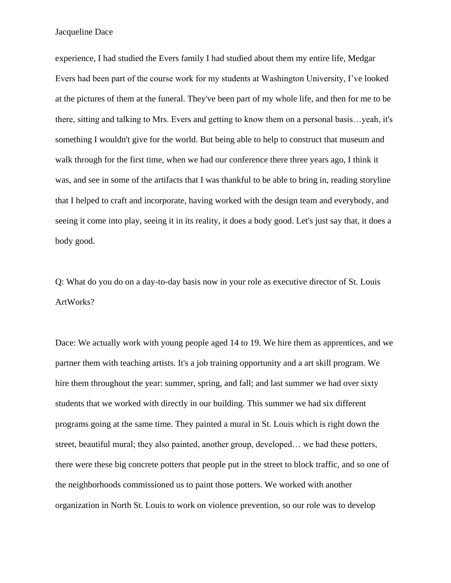experience, I had studied the Evers family I had studied about them my entire life, Medgar Evers had been part of the course work for my students at Washington University, I've looked at the pictures of them at the funeral. They've been part of my whole life, and then for me to be there, sitting and talking to Mrs. Evers and getting to know them on a personal basis…yeah, it's something I wouldn't give for the world. But being able to help to construct that museum and walk through for the first time, when we had our conference there three years ago, I think it was, and see in some of the artifacts that I was thankful to be able to bring in, reading storyline that I helped to craft and incorporate, having worked with the design team and everybody, and seeing it come into play, seeing it in its reality, it does a body good. Let's just say that, it does a body good.

Q: What do you do on a day-to-day basis now in your role as executive director of St. Louis ArtWorks?

Dace: We actually work with young people aged 14 to 19. We hire them as apprentices, and we partner them with teaching artists. It's a job training opportunity and a art skill program. We hire them throughout the year: summer, spring, and fall; and last summer we had over sixty students that we worked with directly in our building. This summer we had six different programs going at the same time. They painted a mural in St. Louis which is right down the street, beautiful mural; they also painted, another group, developed… we had these potters, there were these big concrete potters that people put in the street to block traffic, and so one of the neighborhoods commissioned us to paint those potters. We worked with another organization in North St. Louis to work on violence prevention, so our role was to develop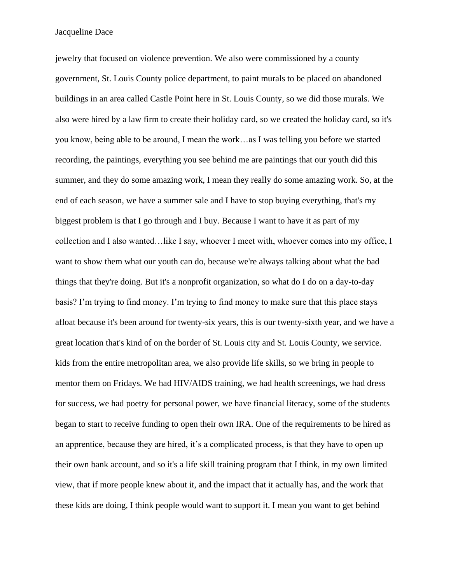jewelry that focused on violence prevention. We also were commissioned by a county government, St. Louis County police department, to paint murals to be placed on abandoned buildings in an area called Castle Point here in St. Louis County, so we did those murals. We also were hired by a law firm to create their holiday card, so we created the holiday card, so it's you know, being able to be around, I mean the work…as I was telling you before we started recording, the paintings, everything you see behind me are paintings that our youth did this summer, and they do some amazing work, I mean they really do some amazing work. So, at the end of each season, we have a summer sale and I have to stop buying everything, that's my biggest problem is that I go through and I buy. Because I want to have it as part of my collection and I also wanted…like I say, whoever I meet with, whoever comes into my office, I want to show them what our youth can do, because we're always talking about what the bad things that they're doing. But it's a nonprofit organization, so what do I do on a day-to-day basis? I'm trying to find money. I'm trying to find money to make sure that this place stays afloat because it's been around for twenty-six years, this is our twenty-sixth year, and we have a great location that's kind of on the border of St. Louis city and St. Louis County, we service. kids from the entire metropolitan area, we also provide life skills, so we bring in people to mentor them on Fridays. We had HIV/AIDS training, we had health screenings, we had dress for success, we had poetry for personal power, we have financial literacy, some of the students began to start to receive funding to open their own IRA. One of the requirements to be hired as an apprentice, because they are hired, it's a complicated process, is that they have to open up their own bank account, and so it's a life skill training program that I think, in my own limited view, that if more people knew about it, and the impact that it actually has, and the work that these kids are doing, I think people would want to support it. I mean you want to get behind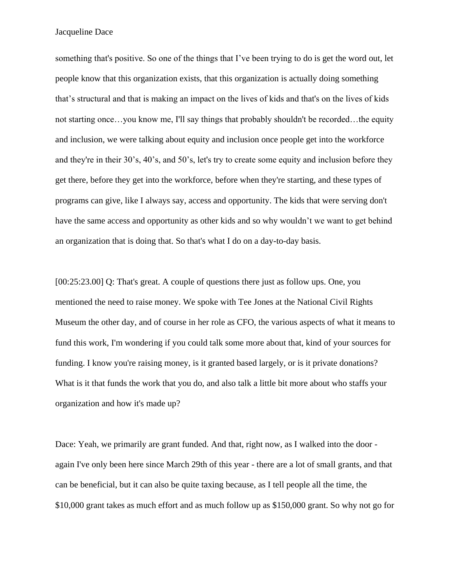something that's positive. So one of the things that I've been trying to do is get the word out, let people know that this organization exists, that this organization is actually doing something that's structural and that is making an impact on the lives of kids and that's on the lives of kids not starting once…you know me, I'll say things that probably shouldn't be recorded…the equity and inclusion, we were talking about equity and inclusion once people get into the workforce and they're in their 30's, 40's, and 50's, let's try to create some equity and inclusion before they get there, before they get into the workforce, before when they're starting, and these types of programs can give, like I always say, access and opportunity. The kids that were serving don't have the same access and opportunity as other kids and so why wouldn't we want to get behind an organization that is doing that. So that's what I do on a day-to-day basis.

[00:25:23.00] Q: That's great. A couple of questions there just as follow ups. One, you mentioned the need to raise money. We spoke with Tee Jones at the National Civil Rights Museum the other day, and of course in her role as CFO, the various aspects of what it means to fund this work, I'm wondering if you could talk some more about that, kind of your sources for funding. I know you're raising money, is it granted based largely, or is it private donations? What is it that funds the work that you do, and also talk a little bit more about who staffs your organization and how it's made up?

Dace: Yeah, we primarily are grant funded. And that, right now, as I walked into the door again I've only been here since March 29th of this year - there are a lot of small grants, and that can be beneficial, but it can also be quite taxing because, as I tell people all the time, the \$10,000 grant takes as much effort and as much follow up as \$150,000 grant. So why not go for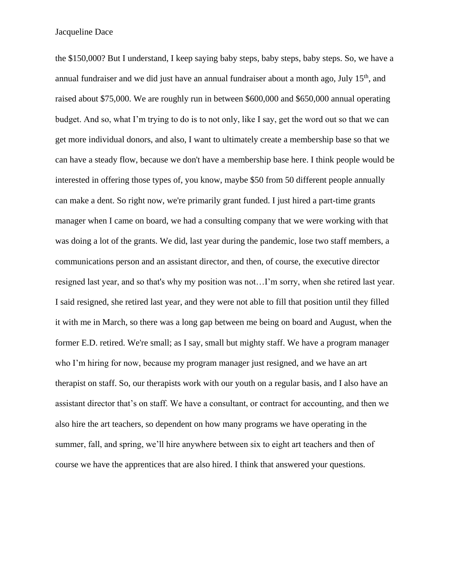the \$150,000? But I understand, I keep saying baby steps, baby steps, baby steps. So, we have a annual fundraiser and we did just have an annual fundraiser about a month ago, July  $15<sup>th</sup>$ , and raised about \$75,000. We are roughly run in between \$600,000 and \$650,000 annual operating budget. And so, what I'm trying to do is to not only, like I say, get the word out so that we can get more individual donors, and also, I want to ultimately create a membership base so that we can have a steady flow, because we don't have a membership base here. I think people would be interested in offering those types of, you know, maybe \$50 from 50 different people annually can make a dent. So right now, we're primarily grant funded. I just hired a part-time grants manager when I came on board, we had a consulting company that we were working with that was doing a lot of the grants. We did, last year during the pandemic, lose two staff members, a communications person and an assistant director, and then, of course, the executive director resigned last year, and so that's why my position was not…I'm sorry, when she retired last year. I said resigned, she retired last year, and they were not able to fill that position until they filled it with me in March, so there was a long gap between me being on board and August, when the former E.D. retired. We're small; as I say, small but mighty staff. We have a program manager who I'm hiring for now, because my program manager just resigned, and we have an art therapist on staff. So, our therapists work with our youth on a regular basis, and I also have an assistant director that's on staff. We have a consultant, or contract for accounting, and then we also hire the art teachers, so dependent on how many programs we have operating in the summer, fall, and spring, we'll hire anywhere between six to eight art teachers and then of course we have the apprentices that are also hired. I think that answered your questions.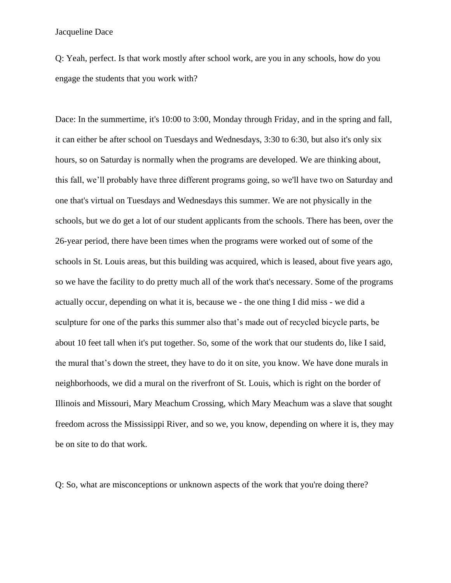Q: Yeah, perfect. Is that work mostly after school work, are you in any schools, how do you engage the students that you work with?

Dace: In the summertime, it's 10:00 to 3:00, Monday through Friday, and in the spring and fall, it can either be after school on Tuesdays and Wednesdays, 3:30 to 6:30, but also it's only six hours, so on Saturday is normally when the programs are developed. We are thinking about, this fall, we'll probably have three different programs going, so we'll have two on Saturday and one that's virtual on Tuesdays and Wednesdays this summer. We are not physically in the schools, but we do get a lot of our student applicants from the schools. There has been, over the 26-year period, there have been times when the programs were worked out of some of the schools in St. Louis areas, but this building was acquired, which is leased, about five years ago, so we have the facility to do pretty much all of the work that's necessary. Some of the programs actually occur, depending on what it is, because we - the one thing I did miss - we did a sculpture for one of the parks this summer also that's made out of recycled bicycle parts, be about 10 feet tall when it's put together. So, some of the work that our students do, like I said, the mural that's down the street, they have to do it on site, you know. We have done murals in neighborhoods, we did a mural on the riverfront of St. Louis, which is right on the border of Illinois and Missouri, Mary Meachum Crossing, which Mary Meachum was a slave that sought freedom across the Mississippi River, and so we, you know, depending on where it is, they may be on site to do that work.

Q: So, what are misconceptions or unknown aspects of the work that you're doing there?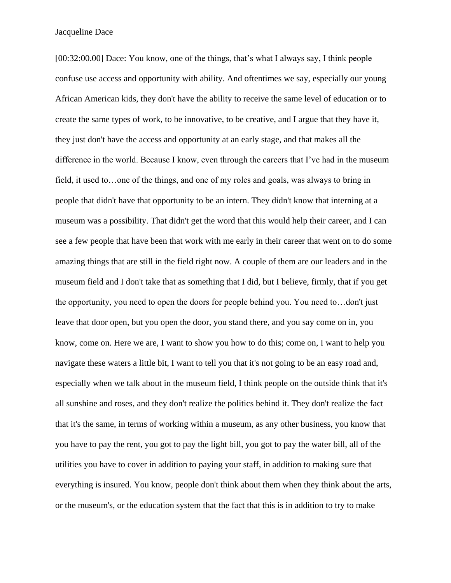[00:32:00.00] Dace: You know, one of the things, that's what I always say, I think people confuse use access and opportunity with ability. And oftentimes we say, especially our young African American kids, they don't have the ability to receive the same level of education or to create the same types of work, to be innovative, to be creative, and I argue that they have it, they just don't have the access and opportunity at an early stage, and that makes all the difference in the world. Because I know, even through the careers that I've had in the museum field, it used to…one of the things, and one of my roles and goals, was always to bring in people that didn't have that opportunity to be an intern. They didn't know that interning at a museum was a possibility. That didn't get the word that this would help their career, and I can see a few people that have been that work with me early in their career that went on to do some amazing things that are still in the field right now. A couple of them are our leaders and in the museum field and I don't take that as something that I did, but I believe, firmly, that if you get the opportunity, you need to open the doors for people behind you. You need to…don't just leave that door open, but you open the door, you stand there, and you say come on in, you know, come on. Here we are, I want to show you how to do this; come on, I want to help you navigate these waters a little bit, I want to tell you that it's not going to be an easy road and, especially when we talk about in the museum field, I think people on the outside think that it's all sunshine and roses, and they don't realize the politics behind it. They don't realize the fact that it's the same, in terms of working within a museum, as any other business, you know that you have to pay the rent, you got to pay the light bill, you got to pay the water bill, all of the utilities you have to cover in addition to paying your staff, in addition to making sure that everything is insured. You know, people don't think about them when they think about the arts, or the museum's, or the education system that the fact that this is in addition to try to make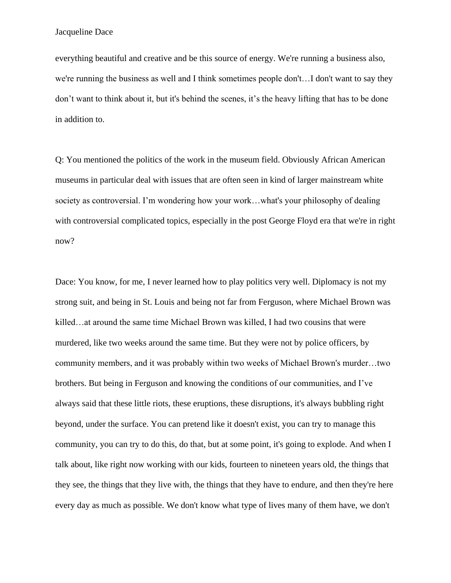everything beautiful and creative and be this source of energy. We're running a business also, we're running the business as well and I think sometimes people don't…I don't want to say they don't want to think about it, but it's behind the scenes, it's the heavy lifting that has to be done in addition to.

Q: You mentioned the politics of the work in the museum field. Obviously African American museums in particular deal with issues that are often seen in kind of larger mainstream white society as controversial. I'm wondering how your work…what's your philosophy of dealing with controversial complicated topics, especially in the post George Floyd era that we're in right now?

Dace: You know, for me, I never learned how to play politics very well. Diplomacy is not my strong suit, and being in St. Louis and being not far from Ferguson, where Michael Brown was killed…at around the same time Michael Brown was killed, I had two cousins that were murdered, like two weeks around the same time. But they were not by police officers, by community members, and it was probably within two weeks of Michael Brown's murder…two brothers. But being in Ferguson and knowing the conditions of our communities, and I've always said that these little riots, these eruptions, these disruptions, it's always bubbling right beyond, under the surface. You can pretend like it doesn't exist, you can try to manage this community, you can try to do this, do that, but at some point, it's going to explode. And when I talk about, like right now working with our kids, fourteen to nineteen years old, the things that they see, the things that they live with, the things that they have to endure, and then they're here every day as much as possible. We don't know what type of lives many of them have, we don't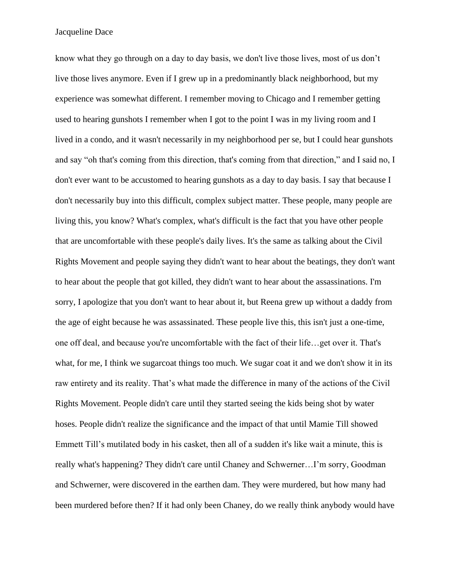know what they go through on a day to day basis, we don't live those lives, most of us don't live those lives anymore. Even if I grew up in a predominantly black neighborhood, but my experience was somewhat different. I remember moving to Chicago and I remember getting used to hearing gunshots I remember when I got to the point I was in my living room and I lived in a condo, and it wasn't necessarily in my neighborhood per se, but I could hear gunshots and say "oh that's coming from this direction, that's coming from that direction," and I said no, I don't ever want to be accustomed to hearing gunshots as a day to day basis. I say that because I don't necessarily buy into this difficult, complex subject matter. These people, many people are living this, you know? What's complex, what's difficult is the fact that you have other people that are uncomfortable with these people's daily lives. It's the same as talking about the Civil Rights Movement and people saying they didn't want to hear about the beatings, they don't want to hear about the people that got killed, they didn't want to hear about the assassinations. I'm sorry, I apologize that you don't want to hear about it, but Reena grew up without a daddy from the age of eight because he was assassinated. These people live this, this isn't just a one-time, one off deal, and because you're uncomfortable with the fact of their life…get over it. That's what, for me, I think we sugarcoat things too much. We sugar coat it and we don't show it in its raw entirety and its reality. That's what made the difference in many of the actions of the Civil Rights Movement. People didn't care until they started seeing the kids being shot by water hoses. People didn't realize the significance and the impact of that until Mamie Till showed Emmett Till's mutilated body in his casket, then all of a sudden it's like wait a minute, this is really what's happening? They didn't care until Chaney and Schwerner…I'm sorry, Goodman and Schwerner, were discovered in the earthen dam. They were murdered, but how many had been murdered before then? If it had only been Chaney, do we really think anybody would have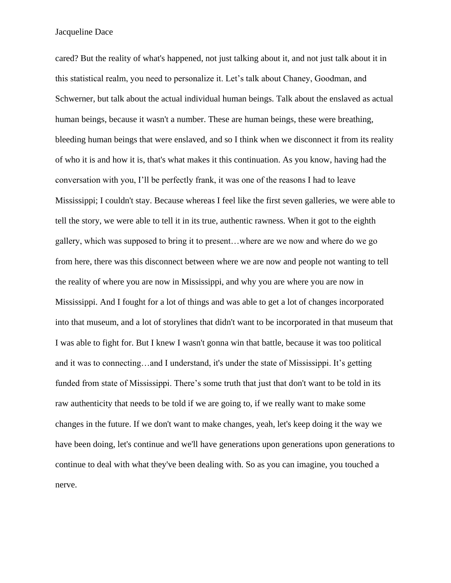cared? But the reality of what's happened, not just talking about it, and not just talk about it in this statistical realm, you need to personalize it. Let's talk about Chaney, Goodman, and Schwerner, but talk about the actual individual human beings. Talk about the enslaved as actual human beings, because it wasn't a number. These are human beings, these were breathing, bleeding human beings that were enslaved, and so I think when we disconnect it from its reality of who it is and how it is, that's what makes it this continuation. As you know, having had the conversation with you, I'll be perfectly frank, it was one of the reasons I had to leave Mississippi; I couldn't stay. Because whereas I feel like the first seven galleries, we were able to tell the story, we were able to tell it in its true, authentic rawness. When it got to the eighth gallery, which was supposed to bring it to present…where are we now and where do we go from here, there was this disconnect between where we are now and people not wanting to tell the reality of where you are now in Mississippi, and why you are where you are now in Mississippi. And I fought for a lot of things and was able to get a lot of changes incorporated into that museum, and a lot of storylines that didn't want to be incorporated in that museum that I was able to fight for. But I knew I wasn't gonna win that battle, because it was too political and it was to connecting…and I understand, it's under the state of Mississippi. It's getting funded from state of Mississippi. There's some truth that just that don't want to be told in its raw authenticity that needs to be told if we are going to, if we really want to make some changes in the future. If we don't want to make changes, yeah, let's keep doing it the way we have been doing, let's continue and we'll have generations upon generations upon generations to continue to deal with what they've been dealing with. So as you can imagine, you touched a nerve.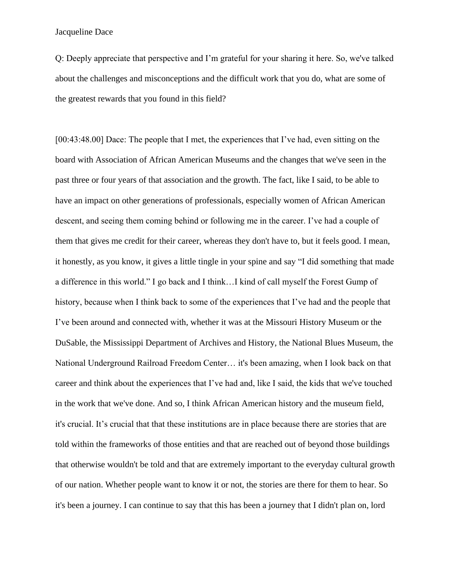Q: Deeply appreciate that perspective and I'm grateful for your sharing it here. So, we've talked about the challenges and misconceptions and the difficult work that you do, what are some of the greatest rewards that you found in this field?

[00:43:48.00] Dace: The people that I met, the experiences that I've had, even sitting on the board with Association of African American Museums and the changes that we've seen in the past three or four years of that association and the growth. The fact, like I said, to be able to have an impact on other generations of professionals, especially women of African American descent, and seeing them coming behind or following me in the career. I've had a couple of them that gives me credit for their career, whereas they don't have to, but it feels good. I mean, it honestly, as you know, it gives a little tingle in your spine and say "I did something that made a difference in this world." I go back and I think…I kind of call myself the Forest Gump of history, because when I think back to some of the experiences that I've had and the people that I've been around and connected with, whether it was at the Missouri History Museum or the DuSable, the Mississippi Department of Archives and History, the National Blues Museum, the National Underground Railroad Freedom Center… it's been amazing, when I look back on that career and think about the experiences that I've had and, like I said, the kids that we've touched in the work that we've done. And so, I think African American history and the museum field, it's crucial. It's crucial that that these institutions are in place because there are stories that are told within the frameworks of those entities and that are reached out of beyond those buildings that otherwise wouldn't be told and that are extremely important to the everyday cultural growth of our nation. Whether people want to know it or not, the stories are there for them to hear. So it's been a journey. I can continue to say that this has been a journey that I didn't plan on, lord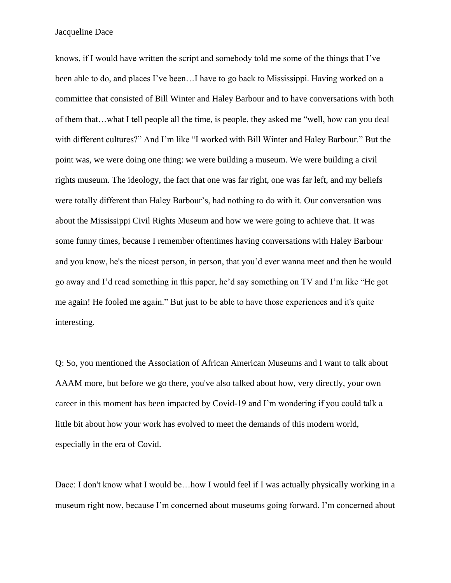knows, if I would have written the script and somebody told me some of the things that I've been able to do, and places I've been…I have to go back to Mississippi. Having worked on a committee that consisted of Bill Winter and Haley Barbour and to have conversations with both of them that…what I tell people all the time, is people, they asked me "well, how can you deal with different cultures?" And I'm like "I worked with Bill Winter and Haley Barbour." But the point was, we were doing one thing: we were building a museum. We were building a civil rights museum. The ideology, the fact that one was far right, one was far left, and my beliefs were totally different than Haley Barbour's, had nothing to do with it. Our conversation was about the Mississippi Civil Rights Museum and how we were going to achieve that. It was some funny times, because I remember oftentimes having conversations with Haley Barbour and you know, he's the nicest person, in person, that you'd ever wanna meet and then he would go away and I'd read something in this paper, he'd say something on TV and I'm like "He got me again! He fooled me again." But just to be able to have those experiences and it's quite interesting.

Q: So, you mentioned the Association of African American Museums and I want to talk about AAAM more, but before we go there, you've also talked about how, very directly, your own career in this moment has been impacted by Covid-19 and I'm wondering if you could talk a little bit about how your work has evolved to meet the demands of this modern world, especially in the era of Covid.

Dace: I don't know what I would be...how I would feel if I was actually physically working in a museum right now, because I'm concerned about museums going forward. I'm concerned about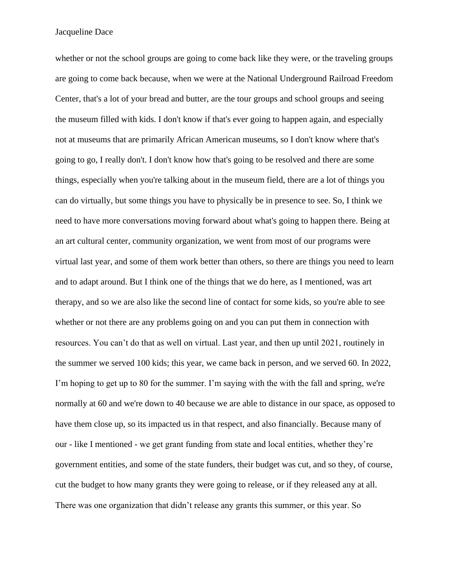whether or not the school groups are going to come back like they were, or the traveling groups are going to come back because, when we were at the National Underground Railroad Freedom Center, that's a lot of your bread and butter, are the tour groups and school groups and seeing the museum filled with kids. I don't know if that's ever going to happen again, and especially not at museums that are primarily African American museums, so I don't know where that's going to go, I really don't. I don't know how that's going to be resolved and there are some things, especially when you're talking about in the museum field, there are a lot of things you can do virtually, but some things you have to physically be in presence to see. So, I think we need to have more conversations moving forward about what's going to happen there. Being at an art cultural center, community organization, we went from most of our programs were virtual last year, and some of them work better than others, so there are things you need to learn and to adapt around. But I think one of the things that we do here, as I mentioned, was art therapy, and so we are also like the second line of contact for some kids, so you're able to see whether or not there are any problems going on and you can put them in connection with resources. You can't do that as well on virtual. Last year, and then up until 2021, routinely in the summer we served 100 kids; this year, we came back in person, and we served 60. In 2022, I'm hoping to get up to 80 for the summer. I'm saying with the with the fall and spring, we're normally at 60 and we're down to 40 because we are able to distance in our space, as opposed to have them close up, so its impacted us in that respect, and also financially. Because many of our - like I mentioned - we get grant funding from state and local entities, whether they're government entities, and some of the state funders, their budget was cut, and so they, of course, cut the budget to how many grants they were going to release, or if they released any at all. There was one organization that didn't release any grants this summer, or this year. So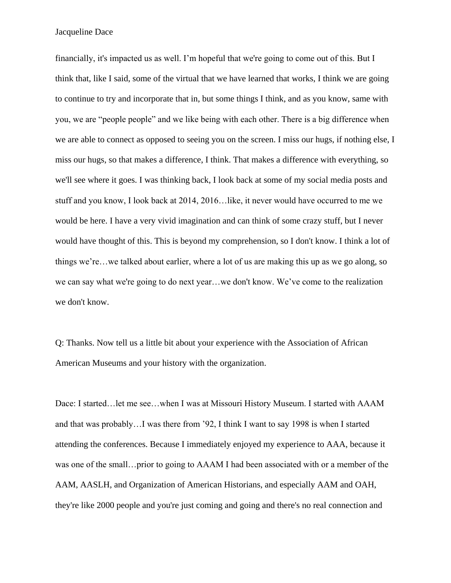financially, it's impacted us as well. I'm hopeful that we're going to come out of this. But I think that, like I said, some of the virtual that we have learned that works, I think we are going to continue to try and incorporate that in, but some things I think, and as you know, same with you, we are "people people" and we like being with each other. There is a big difference when we are able to connect as opposed to seeing you on the screen. I miss our hugs, if nothing else, I miss our hugs, so that makes a difference, I think. That makes a difference with everything, so we'll see where it goes. I was thinking back, I look back at some of my social media posts and stuff and you know, I look back at 2014, 2016…like, it never would have occurred to me we would be here. I have a very vivid imagination and can think of some crazy stuff, but I never would have thought of this. This is beyond my comprehension, so I don't know. I think a lot of things we're…we talked about earlier, where a lot of us are making this up as we go along, so we can say what we're going to do next year…we don't know. We've come to the realization we don't know.

Q: Thanks. Now tell us a little bit about your experience with the Association of African American Museums and your history with the organization.

Dace: I started…let me see…when I was at Missouri History Museum. I started with AAAM and that was probably…I was there from '92, I think I want to say 1998 is when I started attending the conferences. Because I immediately enjoyed my experience to AAA, because it was one of the small…prior to going to AAAM I had been associated with or a member of the AAM, AASLH, and Organization of American Historians, and especially AAM and OAH, they're like 2000 people and you're just coming and going and there's no real connection and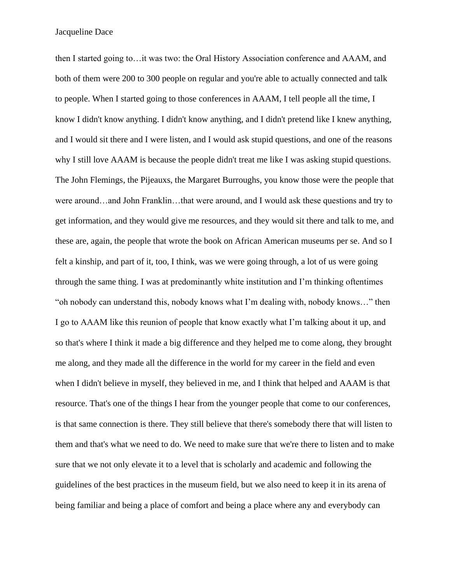then I started going to…it was two: the Oral History Association conference and AAAM, and both of them were 200 to 300 people on regular and you're able to actually connected and talk to people. When I started going to those conferences in AAAM, I tell people all the time, I know I didn't know anything. I didn't know anything, and I didn't pretend like I knew anything, and I would sit there and I were listen, and I would ask stupid questions, and one of the reasons why I still love AAAM is because the people didn't treat me like I was asking stupid questions. The John Flemings, the Pijeauxs, the Margaret Burroughs, you know those were the people that were around…and John Franklin…that were around, and I would ask these questions and try to get information, and they would give me resources, and they would sit there and talk to me, and these are, again, the people that wrote the book on African American museums per se. And so I felt a kinship, and part of it, too, I think, was we were going through, a lot of us were going through the same thing. I was at predominantly white institution and I'm thinking oftentimes "oh nobody can understand this, nobody knows what I'm dealing with, nobody knows…" then I go to AAAM like this reunion of people that know exactly what I'm talking about it up, and so that's where I think it made a big difference and they helped me to come along, they brought me along, and they made all the difference in the world for my career in the field and even when I didn't believe in myself, they believed in me, and I think that helped and AAAM is that resource. That's one of the things I hear from the younger people that come to our conferences, is that same connection is there. They still believe that there's somebody there that will listen to them and that's what we need to do. We need to make sure that we're there to listen and to make sure that we not only elevate it to a level that is scholarly and academic and following the guidelines of the best practices in the museum field, but we also need to keep it in its arena of being familiar and being a place of comfort and being a place where any and everybody can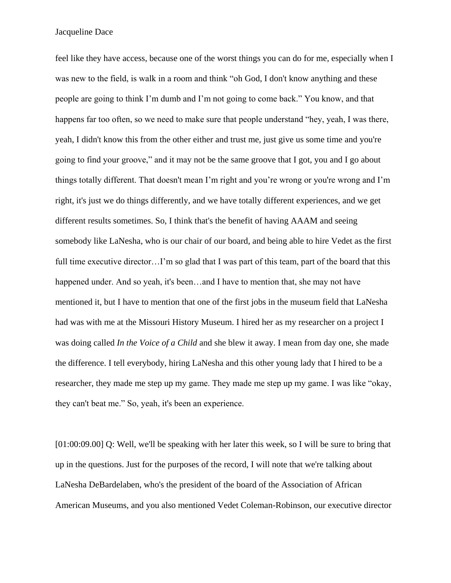feel like they have access, because one of the worst things you can do for me, especially when I was new to the field, is walk in a room and think "oh God, I don't know anything and these people are going to think I'm dumb and I'm not going to come back." You know, and that happens far too often, so we need to make sure that people understand "hey, yeah, I was there, yeah, I didn't know this from the other either and trust me, just give us some time and you're going to find your groove," and it may not be the same groove that I got, you and I go about things totally different. That doesn't mean I'm right and you're wrong or you're wrong and I'm right, it's just we do things differently, and we have totally different experiences, and we get different results sometimes. So, I think that's the benefit of having AAAM and seeing somebody like LaNesha, who is our chair of our board, and being able to hire Vedet as the first full time executive director...I'm so glad that I was part of this team, part of the board that this happened under. And so yeah, it's been...and I have to mention that, she may not have mentioned it, but I have to mention that one of the first jobs in the museum field that LaNesha had was with me at the Missouri History Museum. I hired her as my researcher on a project I was doing called *In the Voice of a Child* and she blew it away. I mean from day one, she made the difference. I tell everybody, hiring LaNesha and this other young lady that I hired to be a researcher, they made me step up my game. They made me step up my game. I was like "okay, they can't beat me." So, yeah, it's been an experience.

[01:00:09.00] Q: Well, we'll be speaking with her later this week, so I will be sure to bring that up in the questions. Just for the purposes of the record, I will note that we're talking about LaNesha DeBardelaben, who's the president of the board of the Association of African American Museums, and you also mentioned Vedet Coleman-Robinson, our executive director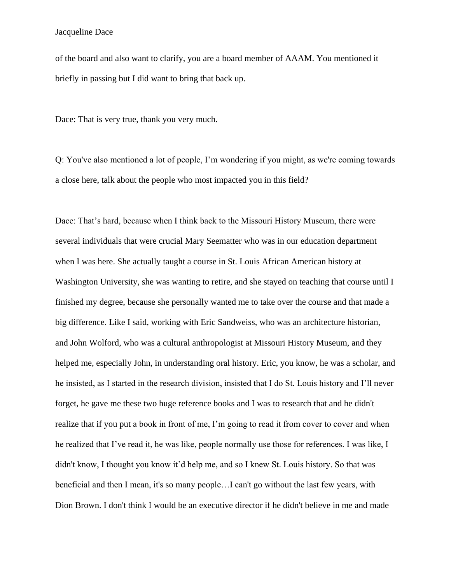of the board and also want to clarify, you are a board member of AAAM. You mentioned it briefly in passing but I did want to bring that back up.

Dace: That is very true, thank you very much.

Q: You've also mentioned a lot of people, I'm wondering if you might, as we're coming towards a close here, talk about the people who most impacted you in this field?

Dace: That's hard, because when I think back to the Missouri History Museum, there were several individuals that were crucial Mary Seematter who was in our education department when I was here. She actually taught a course in St. Louis African American history at Washington University, she was wanting to retire, and she stayed on teaching that course until I finished my degree, because she personally wanted me to take over the course and that made a big difference. Like I said, working with Eric Sandweiss, who was an architecture historian, and John Wolford, who was a cultural anthropologist at Missouri History Museum, and they helped me, especially John, in understanding oral history. Eric, you know, he was a scholar, and he insisted, as I started in the research division, insisted that I do St. Louis history and I'll never forget, he gave me these two huge reference books and I was to research that and he didn't realize that if you put a book in front of me, I'm going to read it from cover to cover and when he realized that I've read it, he was like, people normally use those for references. I was like, I didn't know, I thought you know it'd help me, and so I knew St. Louis history. So that was beneficial and then I mean, it's so many people…I can't go without the last few years, with Dion Brown. I don't think I would be an executive director if he didn't believe in me and made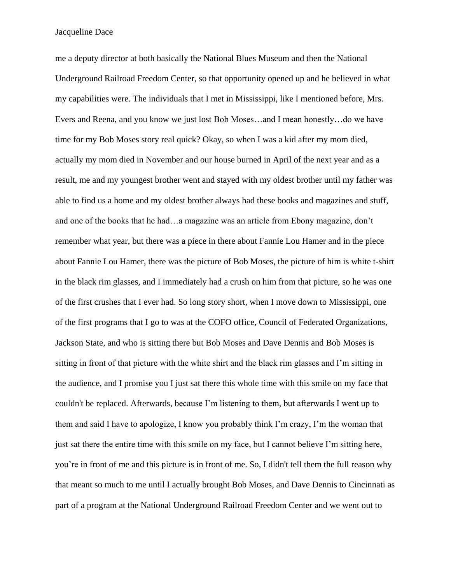me a deputy director at both basically the National Blues Museum and then the National Underground Railroad Freedom Center, so that opportunity opened up and he believed in what my capabilities were. The individuals that I met in Mississippi, like I mentioned before, Mrs. Evers and Reena, and you know we just lost Bob Moses…and I mean honestly…do we have time for my Bob Moses story real quick? Okay, so when I was a kid after my mom died, actually my mom died in November and our house burned in April of the next year and as a result, me and my youngest brother went and stayed with my oldest brother until my father was able to find us a home and my oldest brother always had these books and magazines and stuff, and one of the books that he had…a magazine was an article from Ebony magazine, don't remember what year, but there was a piece in there about Fannie Lou Hamer and in the piece about Fannie Lou Hamer, there was the picture of Bob Moses, the picture of him is white t-shirt in the black rim glasses, and I immediately had a crush on him from that picture, so he was one of the first crushes that I ever had. So long story short, when I move down to Mississippi, one of the first programs that I go to was at the COFO office, Council of Federated Organizations, Jackson State, and who is sitting there but Bob Moses and Dave Dennis and Bob Moses is sitting in front of that picture with the white shirt and the black rim glasses and I'm sitting in the audience, and I promise you I just sat there this whole time with this smile on my face that couldn't be replaced. Afterwards, because I'm listening to them, but afterwards I went up to them and said I have to apologize, I know you probably think I'm crazy, I'm the woman that just sat there the entire time with this smile on my face, but I cannot believe I'm sitting here, you're in front of me and this picture is in front of me. So, I didn't tell them the full reason why that meant so much to me until I actually brought Bob Moses, and Dave Dennis to Cincinnati as part of a program at the National Underground Railroad Freedom Center and we went out to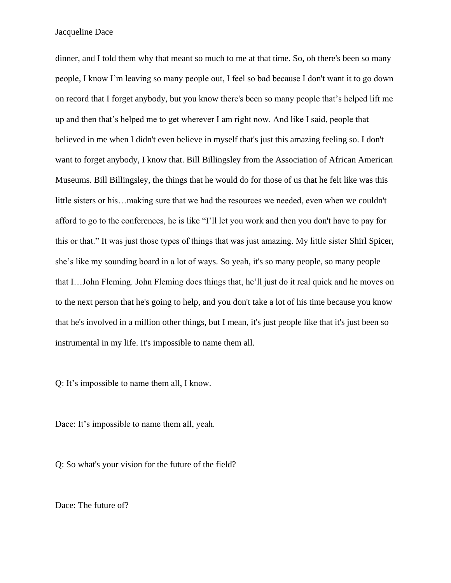dinner, and I told them why that meant so much to me at that time. So, oh there's been so many people, I know I'm leaving so many people out, I feel so bad because I don't want it to go down on record that I forget anybody, but you know there's been so many people that's helped lift me up and then that's helped me to get wherever I am right now. And like I said, people that believed in me when I didn't even believe in myself that's just this amazing feeling so. I don't want to forget anybody, I know that. Bill Billingsley from the Association of African American Museums. Bill Billingsley, the things that he would do for those of us that he felt like was this little sisters or his…making sure that we had the resources we needed, even when we couldn't afford to go to the conferences, he is like "I'll let you work and then you don't have to pay for this or that." It was just those types of things that was just amazing. My little sister Shirl Spicer, she's like my sounding board in a lot of ways. So yeah, it's so many people, so many people that I…John Fleming. John Fleming does things that, he'll just do it real quick and he moves on to the next person that he's going to help, and you don't take a lot of his time because you know that he's involved in a million other things, but I mean, it's just people like that it's just been so instrumental in my life. It's impossible to name them all.

Q: It's impossible to name them all, I know.

Dace: It's impossible to name them all, yeah.

Q: So what's your vision for the future of the field?

Dace: The future of?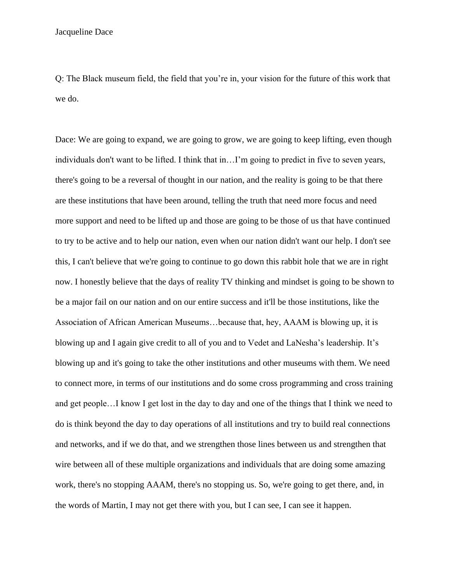Q: The Black museum field, the field that you're in, your vision for the future of this work that we do.

Dace: We are going to expand, we are going to grow, we are going to keep lifting, even though individuals don't want to be lifted. I think that in…I'm going to predict in five to seven years, there's going to be a reversal of thought in our nation, and the reality is going to be that there are these institutions that have been around, telling the truth that need more focus and need more support and need to be lifted up and those are going to be those of us that have continued to try to be active and to help our nation, even when our nation didn't want our help. I don't see this, I can't believe that we're going to continue to go down this rabbit hole that we are in right now. I honestly believe that the days of reality TV thinking and mindset is going to be shown to be a major fail on our nation and on our entire success and it'll be those institutions, like the Association of African American Museums…because that, hey, AAAM is blowing up, it is blowing up and I again give credit to all of you and to Vedet and LaNesha's leadership. It's blowing up and it's going to take the other institutions and other museums with them. We need to connect more, in terms of our institutions and do some cross programming and cross training and get people…I know I get lost in the day to day and one of the things that I think we need to do is think beyond the day to day operations of all institutions and try to build real connections and networks, and if we do that, and we strengthen those lines between us and strengthen that wire between all of these multiple organizations and individuals that are doing some amazing work, there's no stopping AAAM, there's no stopping us. So, we're going to get there, and, in the words of Martin, I may not get there with you, but I can see, I can see it happen.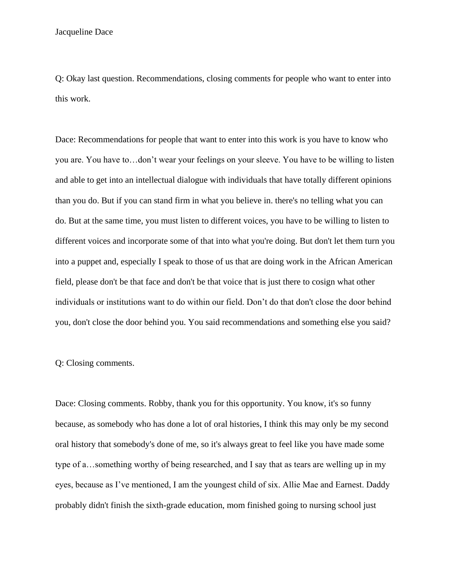Q: Okay last question. Recommendations, closing comments for people who want to enter into this work.

Dace: Recommendations for people that want to enter into this work is you have to know who you are. You have to…don't wear your feelings on your sleeve. You have to be willing to listen and able to get into an intellectual dialogue with individuals that have totally different opinions than you do. But if you can stand firm in what you believe in. there's no telling what you can do. But at the same time, you must listen to different voices, you have to be willing to listen to different voices and incorporate some of that into what you're doing. But don't let them turn you into a puppet and, especially I speak to those of us that are doing work in the African American field, please don't be that face and don't be that voice that is just there to cosign what other individuals or institutions want to do within our field. Don't do that don't close the door behind you, don't close the door behind you. You said recommendations and something else you said?

Q: Closing comments.

Dace: Closing comments. Robby, thank you for this opportunity. You know, it's so funny because, as somebody who has done a lot of oral histories, I think this may only be my second oral history that somebody's done of me, so it's always great to feel like you have made some type of a…something worthy of being researched, and I say that as tears are welling up in my eyes, because as I've mentioned, I am the youngest child of six. Allie Mae and Earnest. Daddy probably didn't finish the sixth-grade education, mom finished going to nursing school just